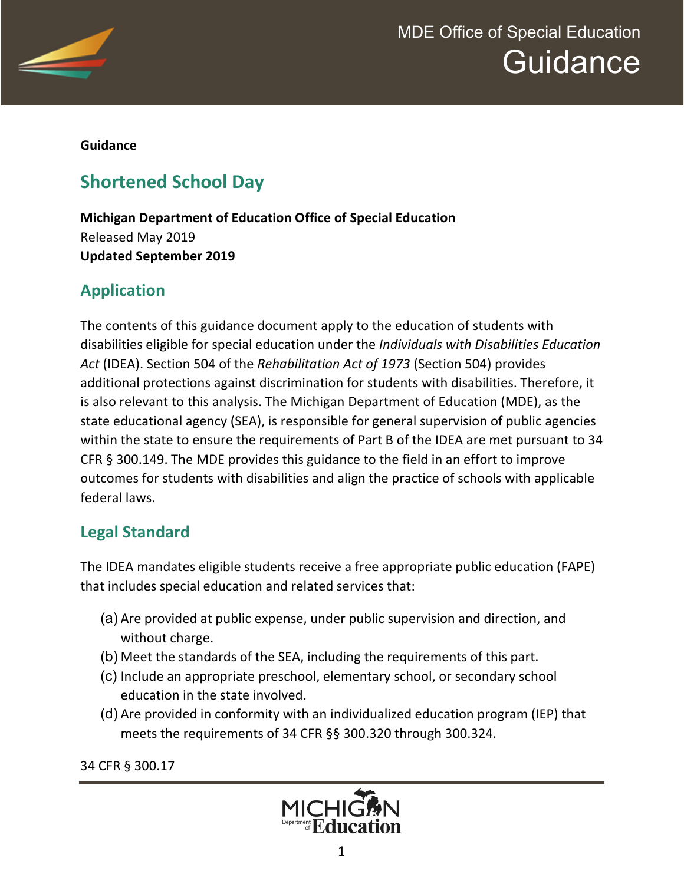

**Guidance** 

# **Shortened School Day**

**Michigan Department of Education Office of Special Education** Released May 2019 **Updated September 2019**

## **Application**

The contents of this guidance document apply to the education of students with disabilities eligible for special education under the *Individuals with Disabilities Education Act* (IDEA). Section 504 of the *Rehabilitation Act of 1973* (Section 504) provides additional protections against discrimination for students with disabilities. Therefore, it is also relevant to this analysis. The Michigan Department of Education (MDE), as the state educational agency (SEA), is responsible for general supervision of public agencies within the state to ensure the requirements of Part B of the IDEA are met pursuant to 34 CFR § 300.149. The MDE provides this guidance to the field in an effort to improve outcomes for students with disabilities and align the practice of schools with applicable federal laws.

## **Legal Standard**

The IDEA mandates eligible students receive a free appropriate public education (FAPE) that includes special education and related services that:

- (a) Are provided at public expense, under public supervision and direction, and without charge.
- (b) Meet the standards of the SEA, including the requirements of this part.
- (c) Include an appropriate preschool, elementary school, or secondary school education in the state involved.
- (d) Are provided in conformity with an individualized education program (IEP) that meets the requirements of 34 CFR §§ 300.320 through 300.324.

34 CFR § 300.17

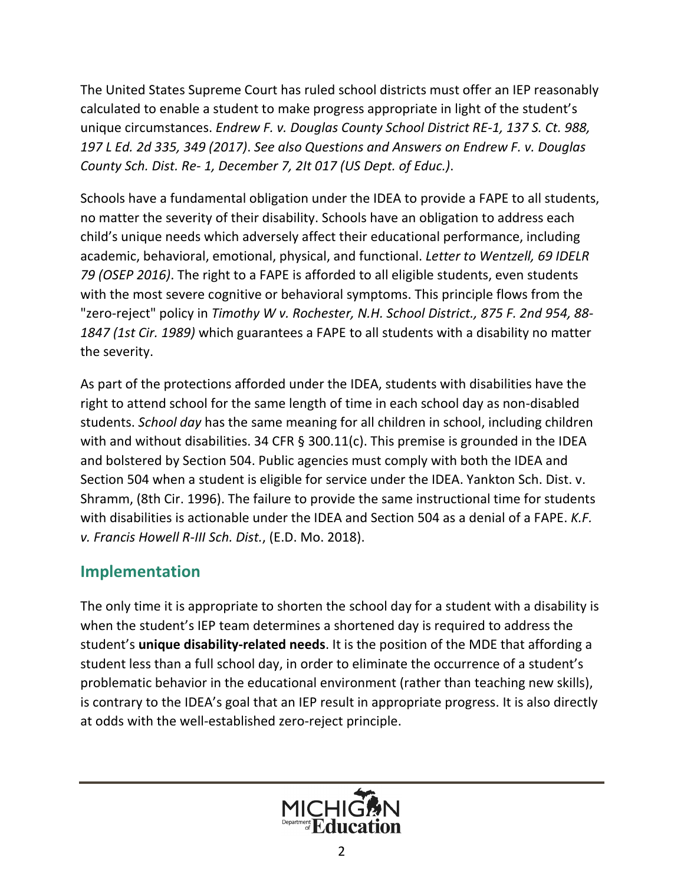The United States Supreme Court has ruled school districts must offer an IEP reasonably calculated to enable a student to make progress appropriate in light of the student's unique circumstances. *Endrew F. v. Douglas County School District RE-1, 137 S. Ct. 988, 197 L Ed. 2d 335, 349 (2017)*. *See also Questions and Answers on Endrew F. v. Douglas County Sch. Dist. Re- 1, December 7, 2It 017 (US Dept. of Educ.)*.

Schools have a fundamental obligation under the IDEA to provide a FAPE to all students, no matter the severity of their disability. Schools have an obligation to address each child's unique needs which adversely affect their educational performance, including academic, behavioral, emotional, physical, and functional. *Letter to Wentzell, 69 IDELR 79 (OSEP 2016)*. The right to a FAPE is afforded to all eligible students, even students with the most severe cognitive or behavioral symptoms. This principle flows from the "zero-reject" policy in *Timothy W v. Rochester, N.H. School District., 875 F. 2nd 954, 88- 1847 (1st Cir. 1989)* which guarantees a FAPE to all students with a disability no matter the severity.

As part of the protections afforded under the IDEA, students with disabilities have the right to attend school for the same length of time in each school day as non-disabled students. *School day* has the same meaning for all children in school, including children with and without disabilities. 34 CFR § 300.11(c). This premise is grounded in the IDEA and bolstered by Section 504. Public agencies must comply with both the IDEA and Section 504 when a student is eligible for service under the IDEA. Yankton Sch. Dist. v. Shramm, (8th Cir. 1996). The failure to provide the same instructional time for students with disabilities is actionable under the IDEA and Section 504 as a denial of a FAPE. *K.F. v. Francis Howell R-III Sch. Dist.*, (E.D. Mo. 2018).

### **Implementation**

The only time it is appropriate to shorten the school day for a student with a disability is when the student's IEP team determines a shortened day is required to address the student's **unique disability-related needs**. It is the position of the MDE that affording a student less than a full school day, in order to eliminate the occurrence of a student's problematic behavior in the educational environment (rather than teaching new skills), is contrary to the IDEA's goal that an IEP result in appropriate progress. It is also directly at odds with the well-established zero-reject principle.

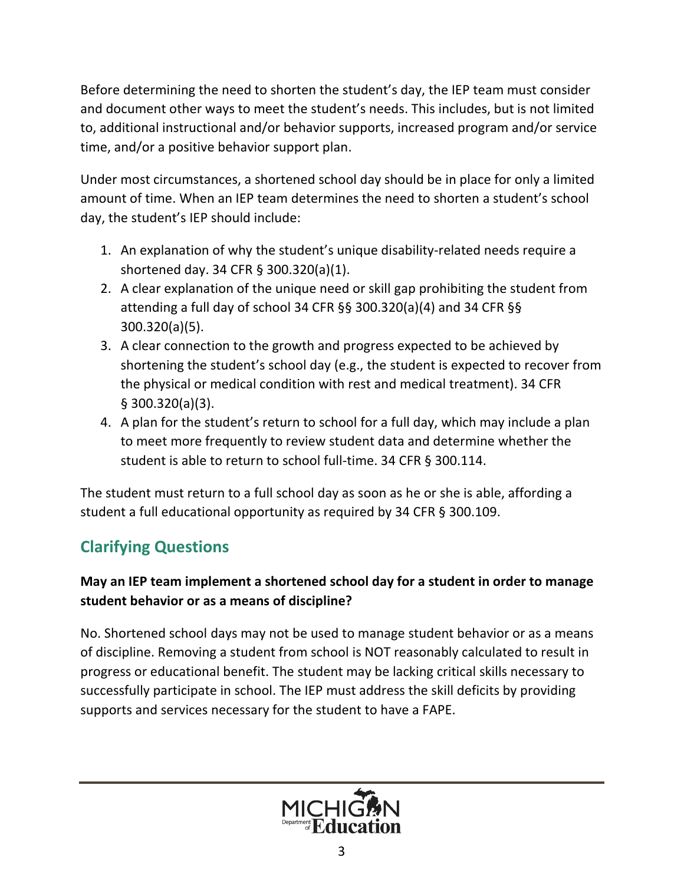Before determining the need to shorten the student's day, the IEP team must consider and document other ways to meet the student's needs. This includes, but is not limited to, additional instructional and/or behavior supports, increased program and/or service time, and/or a positive behavior support plan.

Under most circumstances, a shortened school day should be in place for only a limited amount of time. When an IEP team determines the need to shorten a student's school day, the student's IEP should include:

- 1. An explanation of why the student's unique disability-related needs require a shortened day. 34 CFR § 300.320(a)(1).
- 2. A clear explanation of the unique need or skill gap prohibiting the student from attending a full day of school 34 CFR §§ 300.320(a)(4) and 34 CFR §§ 300.320(a)(5).
- 3. A clear connection to the growth and progress expected to be achieved by shortening the student's school day (e.g., the student is expected to recover from the physical or medical condition with rest and medical treatment). 34 CFR § 300.320(a)(3).
- 4. A plan for the student's return to school for a full day, which may include a plan to meet more frequently to review student data and determine whether the student is able to return to school full-time. 34 CFR § 300.114.

The student must return to a full school day as soon as he or she is able, affording a student a full educational opportunity as required by 34 CFR § 300.109.

# **Clarifying Questions**

#### **May an IEP team implement a shortened school day for a student in order to manage student behavior or as a means of discipline?**

No. Shortened school days may not be used to manage student behavior or as a means of discipline. Removing a student from school is NOT reasonably calculated to result in progress or educational benefit. The student may be lacking critical skills necessary to successfully participate in school. The IEP must address the skill deficits by providing supports and services necessary for the student to have a FAPE.

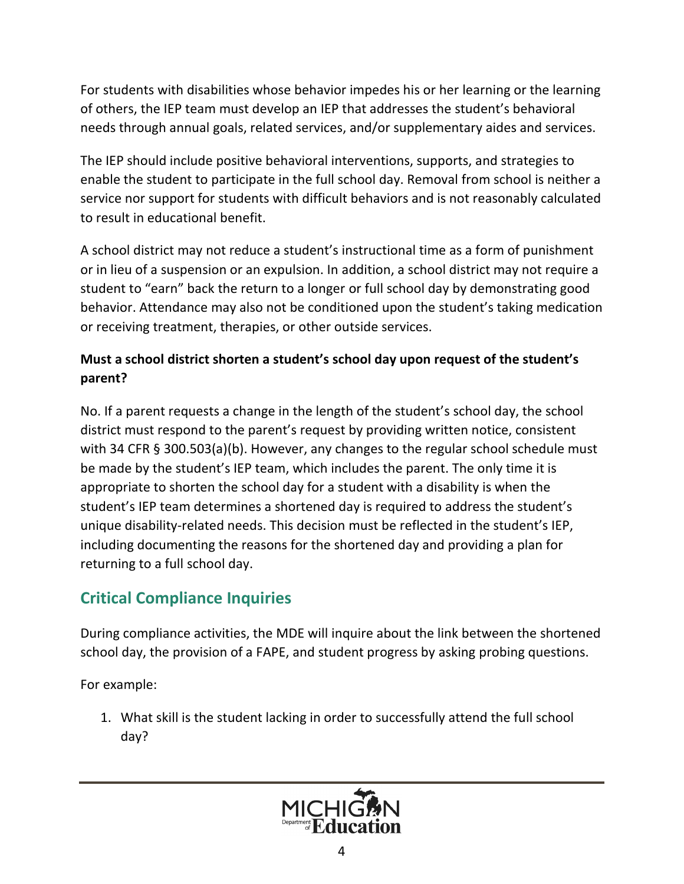For students with disabilities whose behavior impedes his or her learning or the learning of others, the IEP team must develop an IEP that addresses the student's behavioral needs through annual goals, related services, and/or supplementary aides and services.

The IEP should include positive behavioral interventions, supports, and strategies to enable the student to participate in the full school day. Removal from school is neither a service nor support for students with difficult behaviors and is not reasonably calculated to result in educational benefit.

A school district may not reduce a student's instructional time as a form of punishment or in lieu of a suspension or an expulsion. In addition, a school district may not require a student to "earn" back the return to a longer or full school day by demonstrating good behavior. Attendance may also not be conditioned upon the student's taking medication or receiving treatment, therapies, or other outside services.

#### **Must a school district shorten a student's school day upon request of the student's parent?**

No. If a parent requests a change in the length of the student's school day, the school district must respond to the parent's request by providing written notice, consistent with 34 CFR § 300.503(a)(b). However, any changes to the regular school schedule must be made by the student's IEP team, which includes the parent. The only time it is appropriate to shorten the school day for a student with a disability is when the student's IEP team determines a shortened day is required to address the student's unique disability-related needs. This decision must be reflected in the student's IEP, including documenting the reasons for the shortened day and providing a plan for returning to a full school day.

## **Critical Compliance Inquiries**

During compliance activities, the MDE will inquire about the link between the shortened school day, the provision of a FAPE, and student progress by asking probing questions.

For example:

1. What skill is the student lacking in order to successfully attend the full school day?